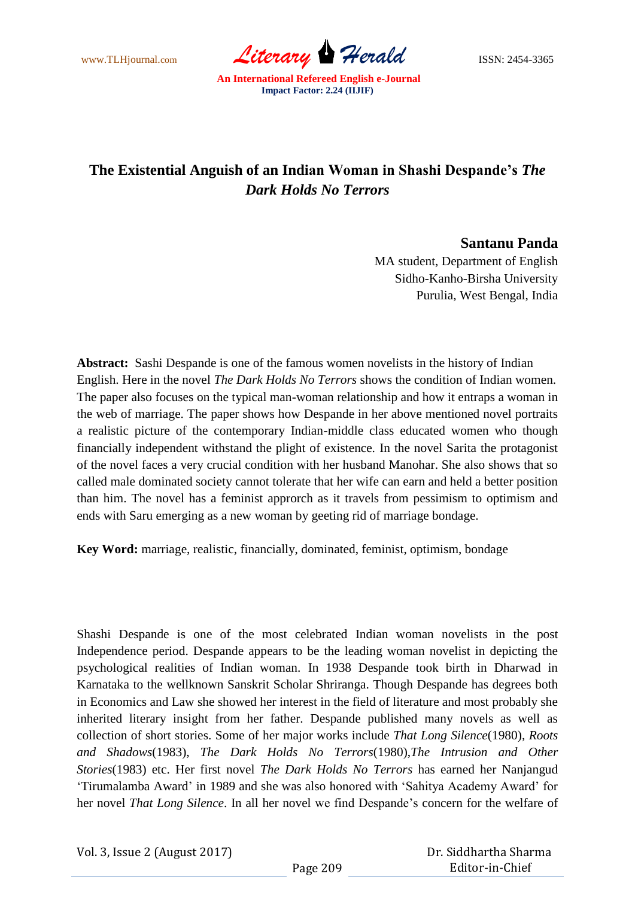www.TLHjournal.com *Literary Herald* ISSN: 2454-3365

## **The Existential Anguish of an Indian Woman in Shashi Despande's** *The Dark Holds No Terrors*

## **Santanu Panda**

MA student, Department of English Sidho-Kanho-Birsha University Purulia, West Bengal, India

**Abstract:** Sashi Despande is one of the famous women novelists in the history of Indian English. Here in the novel *The Dark Holds No Terrors* shows the condition of Indian women. The paper also focuses on the typical man-woman relationship and how it entraps a woman in the web of marriage. The paper shows how Despande in her above mentioned novel portraits a realistic picture of the contemporary Indian-middle class educated women who though financially independent withstand the plight of existence. In the novel Sarita the protagonist of the novel faces a very crucial condition with her husband Manohar. She also shows that so called male dominated society cannot tolerate that her wife can earn and held a better position than him. The novel has a feminist approrch as it travels from pessimism to optimism and ends with Saru emerging as a new woman by geeting rid of marriage bondage.

**Key Word:** marriage, realistic, financially, dominated, feminist, optimism, bondage

Shashi Despande is one of the most celebrated Indian woman novelists in the post Independence period. Despande appears to be the leading woman novelist in depicting the psychological realities of Indian woman. In 1938 Despande took birth in Dharwad in Karnataka to the wellknown Sanskrit Scholar Shriranga. Though Despande has degrees both in Economics and Law she showed her interest in the field of literature and most probably she inherited literary insight from her father. Despande published many novels as well as collection of short stories. Some of her major works include *That Long Silence*(1980), *Roots and Shadows*(1983), *The Dark Holds No Terrors*(1980),*The Intrusion and Other Stories*(1983) etc. Her first novel *The Dark Holds No Terrors* has earned her Nanjangud "Tirumalamba Award" in 1989 and she was also honored with "Sahitya Academy Award" for her novel *That Long Silence*. In all her novel we find Despande"s concern for the welfare of

 Dr. Siddhartha Sharma Editor-in-Chief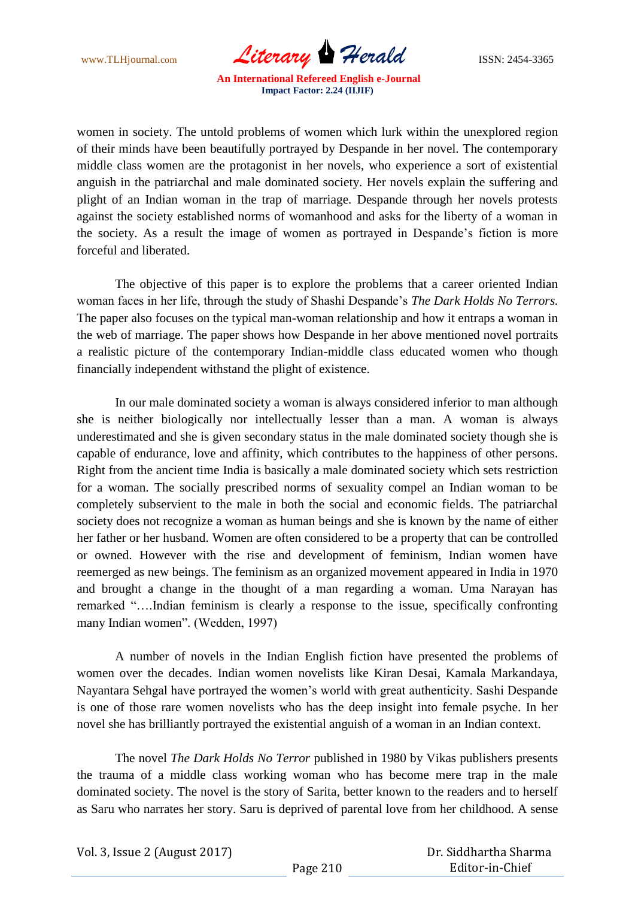www.TLHjournal.com *Literary Herald* ISSN: 2454-3365

women in society. The untold problems of women which lurk within the unexplored region of their minds have been beautifully portrayed by Despande in her novel. The contemporary middle class women are the protagonist in her novels, who experience a sort of existential anguish in the patriarchal and male dominated society. Her novels explain the suffering and plight of an Indian woman in the trap of marriage. Despande through her novels protests against the society established norms of womanhood and asks for the liberty of a woman in the society. As a result the image of women as portrayed in Despande"s fiction is more forceful and liberated.

The objective of this paper is to explore the problems that a career oriented Indian woman faces in her life, through the study of Shashi Despande"s *The Dark Holds No Terrors.*  The paper also focuses on the typical man-woman relationship and how it entraps a woman in the web of marriage. The paper shows how Despande in her above mentioned novel portraits a realistic picture of the contemporary Indian-middle class educated women who though financially independent withstand the plight of existence.

In our male dominated society a woman is always considered inferior to man although she is neither biologically nor intellectually lesser than a man. A woman is always underestimated and she is given secondary status in the male dominated society though she is capable of endurance, love and affinity, which contributes to the happiness of other persons. Right from the ancient time India is basically a male dominated society which sets restriction for a woman. The socially prescribed norms of sexuality compel an Indian woman to be completely subservient to the male in both the social and economic fields. The patriarchal society does not recognize a woman as human beings and she is known by the name of either her father or her husband. Women are often considered to be a property that can be controlled or owned. However with the rise and development of feminism, Indian women have reemerged as new beings. The feminism as an organized movement appeared in India in 1970 and brought a change in the thought of a man regarding a woman. Uma Narayan has remarked "….Indian feminism is clearly a response to the issue, specifically confronting many Indian women". (Wedden, 1997)

A number of novels in the Indian English fiction have presented the problems of women over the decades. Indian women novelists like Kiran Desai, Kamala Markandaya, Nayantara Sehgal have portrayed the women"s world with great authenticity. Sashi Despande is one of those rare women novelists who has the deep insight into female psyche. In her novel she has brilliantly portrayed the existential anguish of a woman in an Indian context.

The novel *The Dark Holds No Terror* published in 1980 by Vikas publishers presents the trauma of a middle class working woman who has become mere trap in the male dominated society. The novel is the story of Sarita, better known to the readers and to herself as Saru who narrates her story. Saru is deprived of parental love from her childhood. A sense

Vol. 3, Issue 2 (August 2017)

 Dr. Siddhartha Sharma Editor-in-Chief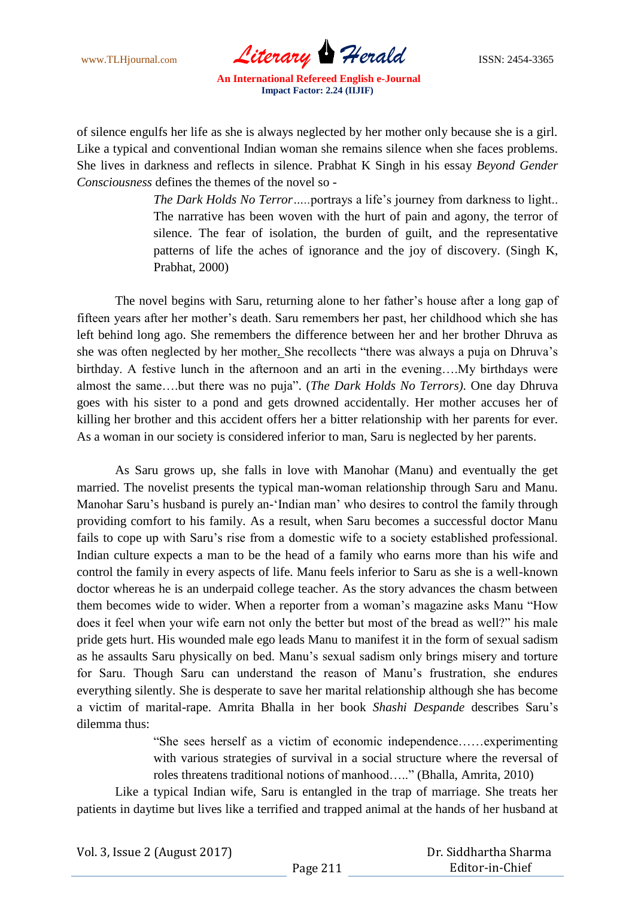www.TLHjournal.com *Literary Herald* ISSN: 2454-3365

of silence engulfs her life as she is always neglected by her mother only because she is a girl. Like a typical and conventional Indian woman she remains silence when she faces problems. She lives in darkness and reflects in silence. Prabhat K Singh in his essay *Beyond Gender Consciousness* defines the themes of the novel so -

> *The Dark Holds No Terror* .....portrays a life's journey from darkness to light... The narrative has been woven with the hurt of pain and agony, the terror of silence. The fear of isolation, the burden of guilt, and the representative patterns of life the aches of ignorance and the joy of discovery. (Singh K, Prabhat, 2000)

The novel begins with Saru, returning alone to her father"s house after a long gap of fifteen years after her mother"s death. Saru remembers her past, her childhood which she has left behind long ago. She remembers the difference between her and her brother Dhruva as she was often neglected by her mother. She recollects "there was always a puja on Dhruva"s birthday. A festive lunch in the afternoon and an arti in the evening….My birthdays were almost the same….but there was no puja". (*The Dark Holds No Terrors)*. One day Dhruva goes with his sister to a pond and gets drowned accidentally. Her mother accuses her of killing her brother and this accident offers her a bitter relationship with her parents for ever. As a woman in our society is considered inferior to man, Saru is neglected by her parents.

As Saru grows up, she falls in love with Manohar (Manu) and eventually the get married. The novelist presents the typical man-woman relationship through Saru and Manu. Manohar Saru's husband is purely an-'Indian man' who desires to control the family through providing comfort to his family. As a result, when Saru becomes a successful doctor Manu fails to cope up with Saru"s rise from a domestic wife to a society established professional. Indian culture expects a man to be the head of a family who earns more than his wife and control the family in every aspects of life. Manu feels inferior to Saru as she is a well-known doctor whereas he is an underpaid college teacher. As the story advances the chasm between them becomes wide to wider. When a reporter from a woman"s magazine asks Manu "How does it feel when your wife earn not only the better but most of the bread as well?" his male pride gets hurt. His wounded male ego leads Manu to manifest it in the form of sexual sadism as he assaults Saru physically on bed. Manu"s sexual sadism only brings misery and torture for Saru. Though Saru can understand the reason of Manu"s frustration, she endures everything silently. She is desperate to save her marital relationship although she has become a victim of marital-rape. Amrita Bhalla in her book *Shashi Despande* describes Saru"s dilemma thus:

> "She sees herself as a victim of economic independence……experimenting with various strategies of survival in a social structure where the reversal of roles threatens traditional notions of manhood….." (Bhalla, Amrita, 2010)

Like a typical Indian wife, Saru is entangled in the trap of marriage. She treats her patients in daytime but lives like a terrified and trapped animal at the hands of her husband at

Vol. 3, Issue 2 (August 2017)

 Dr. Siddhartha Sharma Editor-in-Chief